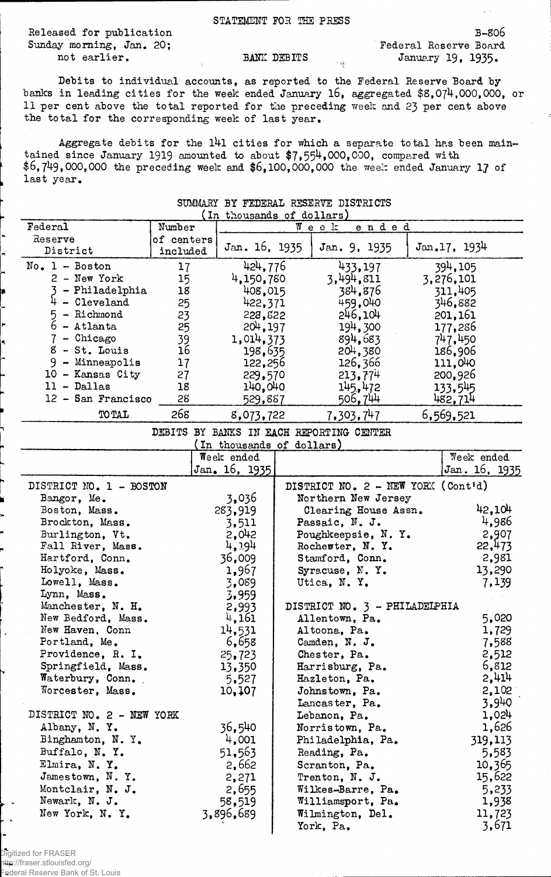Released for publication B-806 Sunday morning, Jan. 20; Tederal Reserve Board

STATEMENT FOR THE PEESS

not earlier. BANK DEBITS January 19, 1935.

Debits to individual accounts, as reported to the Federal Reserve Board by banks in leading cities for the week ended January 16, aggregated \$8,074,000,000, or 11 per cent above the total reported for the preceding week and 23 per cent above the total for the corresponding week of last year.

Aggregate debits for the l4l cities for which a separate total has been maintained since January 1919 amounted to about \$7,554,000,000, compared with  $$6,749,000,000$  the preceding week and  $$6,100,000,000$  the week ended January 17 of last year.

| In thousands of dollars)  |            |                           |  |                                             |  |               |
|---------------------------|------------|---------------------------|--|---------------------------------------------|--|---------------|
| Federal                   | Number     |                           |  | $W$ e e k<br>ended                          |  |               |
| Reserve                   | of centers |                           |  |                                             |  |               |
| District                  | included   | Jan. 16, 1935             |  | Jan. 9, 1935                                |  | Jan.17, 1934  |
| $No. 1 - Boston$          | 17         | 424,776                   |  | 433,197                                     |  | 394,105       |
| $2 - New York$            | 15         | 4,150,780                 |  | 3,494,811                                   |  | 3,276,101     |
| - Philadelphia            | 18         | 408,015                   |  | 384,876                                     |  | 311,405       |
| 4<br>- Cleveland          | 25         | 422,371                   |  | 459,040                                     |  | 346,882       |
| 5<br>- Richmond           | 23         | 228,822                   |  | 246,104                                     |  | 201,161       |
| $6$ - Atlanta             | 25         | 204, 197                  |  | 194,300                                     |  | 177,286       |
| 7 - Chicago               | 39         | 1,014,373                 |  | 894,683                                     |  | 747.450       |
| $8 - St.$ Louis           | 16         | 198,635                   |  | 204,380                                     |  | 186,906       |
| $9 -$ Minneapolis         | 17         | 122,256                   |  | 126,366                                     |  | 111,040       |
| 10 - Kansas City          | 27         | 229,570                   |  | 213,774                                     |  | 200,926       |
| $11 - Dallas$             | 18         |                           |  |                                             |  |               |
| 12 - San Francisco        | 28         | 140,040                   |  | 145,472<br>506,744                          |  | 133.545       |
|                           | 268        | 529,887                   |  |                                             |  | 482,714       |
| <b>TO TAL</b>             |            | 8,073,722                 |  | 7,303,747                                   |  | 6,569,521     |
|                           |            |                           |  | DEBITS BY BANKS IN EACH REPORTING CENTER    |  |               |
|                           |            | (In thousands of dollars) |  |                                             |  |               |
|                           |            | Week ended                |  |                                             |  | Week ended    |
|                           |            | Jan. 16, 1935             |  |                                             |  | Jan. 16, 1935 |
| DISTRICT NO. 1 - BOSTON   |            |                           |  | DISTRICT NO. $2 - \text{NEW YORK (Contid)}$ |  |               |
| Bangor, Me.               |            | 3,036                     |  | Northern New Jersey                         |  |               |
| Boston, Mass.             |            | 283,919                   |  | Clearing House Assn.                        |  | 42,104        |
| Brockton, Mass.           |            | 3,511                     |  | Passaic, N. J.                              |  | 4,986         |
| Burlington, Vt.           |            | 2,042                     |  | Poughkeepsie, N.Y.                          |  | 2,907         |
| Fall River, Mass.         |            | 4,194                     |  | Rochester, N.Y.                             |  | 22,473        |
| Hartford, Conn.           |            | 36,009                    |  | Stamford, Conn.                             |  | 2,981         |
| Holyoke, Mass.            |            | 1,967                     |  | Syracuse, N.Y.                              |  | 13,290        |
| Lowell, Mass.             |            | 3,089                     |  | Utica, N.Y.                                 |  | 7,139         |
| Lynn, Mass.               |            | 3,959                     |  |                                             |  |               |
| Manchester, N. H.         |            | 2,993                     |  | DISTRICT NO. 3 - PHILADELPHIA               |  |               |
| New Bedford, Mass.        |            | 4,161                     |  | Allentown, Pa.                              |  | 5,020         |
| New Haven, Conn           |            | 14,531                    |  | Altoona, Pa.                                |  | 1,729         |
| Portland, Me.             |            | 6,658                     |  | Camden, N. J.                               |  | 7,588         |
| Providence, R. I.         |            | 25,723                    |  | Chester, Pa.                                |  | 2,512         |
| Springfield, Mass.        |            | 13,350                    |  | Harrisburg, Pa.                             |  | 6,812         |
| Waterbury, Conn.          |            | 5,527                     |  | Hazleton, Pa.                               |  | 2,414         |
| Worcester, Mass.          |            | 10,107                    |  | Johnstown, Pa.                              |  | 2,102         |
|                           |            |                           |  | Lancaster, Pa.                              |  | 3,940         |
| DISTRICT NO. 2 - NEW YORK |            |                           |  | Lebanon, Pa.                                |  | 1,024         |
| Albany, N.Y.              |            | 36,540                    |  | Norristown, Pa.                             |  | 1,626         |
| Binghamton, N.Y.          |            | 4,001                     |  | Philadelphia, Pa.                           |  | 319,113       |
| Buffalo, N.Y.             |            | 51,563                    |  | Reading, Pa.                                |  |               |
| Elmira, N.Y.              |            |                           |  |                                             |  | 5,583         |
|                           |            | 2,662                     |  | Scranton, Pa.                               |  | 10,365        |
| Jamestown, N.Y.           |            | 2,271                     |  | Trenton, N. J.                              |  | 15,622        |
| Montclair, N. J.          |            | 2,655                     |  | Wilkes-Barre, Pa.                           |  | 5,233         |
| Newark, N. J.             |            | 58,519                    |  | Williamsport, Pa.                           |  | 1,938         |
| New York, N.Y.            |            | 3,896,689                 |  | Wilmington, Del.                            |  | 11,723        |
|                           |            |                           |  | York, Pa.                                   |  | 3,671         |

## SUMMARY BY FEDERAL RESERVE DISTRICTS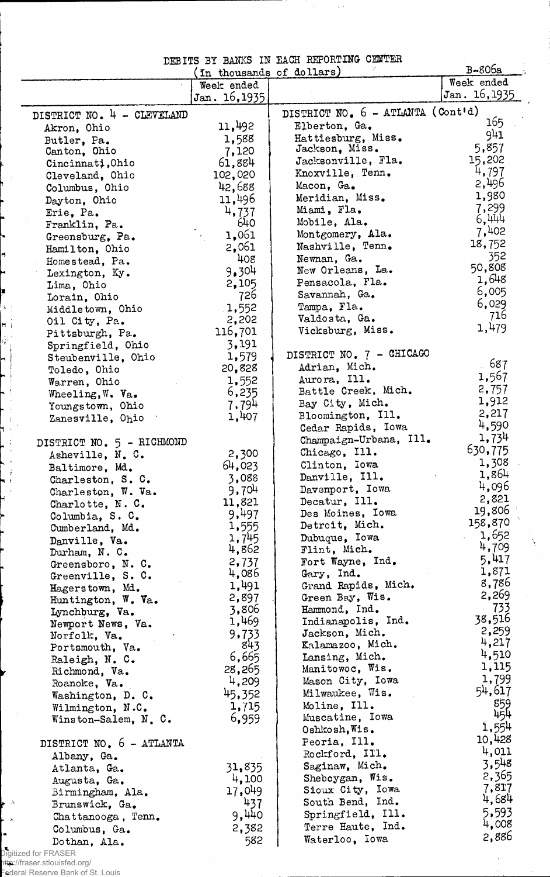## DEBITS BY BANKS IN EACH REPORTING CENTER

|                                  | In thousands of dollars) |                                              | $B-806a$                            |
|----------------------------------|--------------------------|----------------------------------------------|-------------------------------------|
|                                  | Week ended               |                                              | Week ended                          |
|                                  | Jan. 16, 1935            |                                              | Jan. 16, 1935                       |
| DISTRICT NO. 4 - CLEVELAND       |                          | DISTRICT NO. 6 - ATLANTA (Cont'd)            |                                     |
| Akron, Ohio                      | 11,492                   | Elberton, Ga.                                | 165                                 |
| Butler, Pa.                      | 1,588                    | Hattiesburg, Miss.                           | 941                                 |
| Canton, Ohio                     | 7,120                    | Jackson, Miss.                               | 5,857                               |
| Cincinnati, Ohio                 | 61,884                   | Jacksonville, Fla.                           | 15,202                              |
| Cleveland, Ohio                  | 102,020                  | Knoxville, Tenn.                             | 4,797                               |
| Columbus, Ohio                   | 42,688                   | Macon, Ga.                                   | 2,496                               |
| Dayton, Ohio                     | 11,496                   | Meridian, Miss.                              | 1,980                               |
| Erie, Pa.                        | 4,737                    | Miami, Fla.                                  | 7,299                               |
| Franklin, Pa.                    | 640                      | Mobile, Ala.                                 | 6,444                               |
| Greensburg, Pa.                  | 1,061                    | Montgomery, Ala.                             | 7,402                               |
| Hamilton, Ohio                   | 2,061                    | Nashville, Tenn.                             | 18,752                              |
| Homestead, Pa.                   | 408                      | Newnan, Ga.                                  | 352                                 |
| Lexington, Ky.                   | 9,304                    | New Orleans, La.                             | 50,808<br>1,648                     |
| Lima, Ohio                       | 2,105                    | Pensacola, Fla.                              |                                     |
| Lorain, Ohio                     | 726                      | Savannah, Ga.                                | 6,005<br>6,029                      |
| Middletown, Ohio                 | 1,552                    | Tampa, Fla.                                  | 716                                 |
| Oil City, Pa.                    | 2,202                    | Valdosta, Ga.                                | 1,479                               |
| Pittsburgh, Pa.                  | 116,701                  | Vicksburg, Miss.                             |                                     |
| Springfield, Ohio                | 3,191                    |                                              |                                     |
| Steubenville, Ohio               | 1,579                    | DISTRICT NO. 7 - CHICAGO                     | . 687                               |
| Toledo, Ohio                     | 20,828                   | Adrian, Mich.                                | 1,567                               |
| Warren, Ohio                     | 1,552                    | Aurora, Ill.                                 | 2,757                               |
| Wheeling, $W - V_{a}$ .          | 6,235                    | Battle Creek, Mich.                          | 1,912                               |
| Youngstown, Ohio                 | 7,794                    | Bay City, Mich.                              | 2,217                               |
| Zanesville, Ohio                 | 1,407                    | Bloomington, Ill.                            | 4,590                               |
|                                  |                          | Cedar Rapids, Iowa<br>Champaign-Urbana, Ill. | 1,734                               |
| DISTRICT NO. 5 - RICHMOND        |                          | Chicago, Ill.                                | 630,775                             |
| Asheville, N. C.                 | 2,300                    | Clinton, Iowa                                | 1,308                               |
| Baltimore, Md.                   | 64,023                   | Danville, Ill.                               | 1,864                               |
| Charleston, S. C.                | 3,088                    | Davenport, Iowa                              | 4,096                               |
| Charleston, W. Va.               | 9,704<br>11,821          | Decatur, Ill.                                | 2,821                               |
| Charlotte, N.C.                  | 9,497                    | Des Moines, Iowa                             | 19,806                              |
| Columbia, S. C.                  | 1,555                    | Detroit, Mich.                               | 158,870                             |
| Cumberland, Md.                  | 1,745                    | Dubuque, Iowa                                | 1,652<br>$\mathcal{L}^{\text{max}}$ |
| Danville, Va.                    | 4,862                    | Flint, Mich.                                 | 4,709                               |
| Durham, N.C.<br>Greensboro, N.C. | 2,737                    | Fort Wayne, Ind.                             | 5,417                               |
| Greenville, S. C.                | 4,086                    | Gary, Ind.                                   | 1,871                               |
| Hagerstown, Md.                  | 1,491                    | Grand Rapids, Mich.                          | 8,786                               |
| Huntington, W. Va.               | 2,897                    | Green Bay, Wis.                              | 2,269                               |
| Lynchburg, Va.                   | 3,806                    | Hammond, Ind.                                | $-733$                              |
| Newport News, Va.                | 1,469                    | Indianapolis, Ind.                           | 38,516                              |
| Norfolk, Va.                     | 9,733                    | Jackson, Mich.                               | 2,259                               |
| Portsmouth, Va.                  | 843                      | Kalamazoo, Mich.                             | 4,217                               |
| Raleigh, N. C.                   | 6,665                    | Lansing, Mich.                               | 4,510                               |
| Richmond, Va.                    | 28,265                   | Manitowoc, Wis.                              | 1,115                               |
| Roanoke, Va.                     | 4,209                    | Mason City, Iowa                             | 1,799                               |
| Washington, D. C.                | 45,352                   | Milwaukee, Wis.                              | 54,617                              |
| Wilmington, N.C.                 | 1,715                    | Moline, Ill.                                 | 859                                 |
| Winston-Salem, N. C.             | 6,959                    | Muscatine, Iowa                              | 454                                 |
|                                  |                          | Oshkosh, Wis.                                | 1,554                               |
| DISTRICT NO. 6 - ATLANTA         |                          | Peoria, Ill.                                 | 10,428                              |
| Albany, Ga.                      |                          | Rockford, II1.                               | 4,011                               |
| Atlanta, Ga.                     | 31,835                   | Saginaw, Mich.                               | 3,548                               |
| Augusta, Ga.                     | 4,100                    | Sheboygan, Wis.                              | 2,365                               |
| Birmingham, Ala.                 | 17,049                   | Sioux City, Iowa                             | 7,817<br>4,684                      |
| Brunswick, Ga.                   | 437                      | South Bend, Ind.                             | 5,593                               |
| Chattanooga, Tenn.               | 9,440                    | Springfield, Ill.                            | 4,008                               |
| Columbus, Ga.                    | 2,382                    | Terre Haute, Ind.                            | 2,886                               |
| Dothan. Ala.                     | 582                      | Waterloo, Iowa                               |                                     |

Digitized for FRASER http://fraser.stlouisfed.org/ Federal Reserve Bank of St. Louis

 $\Lambda$  $\star$ 

H

h, n i l<br>Lig

 $\overline{\phantom{a}}$ 

j

 $\bar{\phantom{a}}$  : щ.,  $\cdot$ J,  $\cdot$  $\overline{f}$